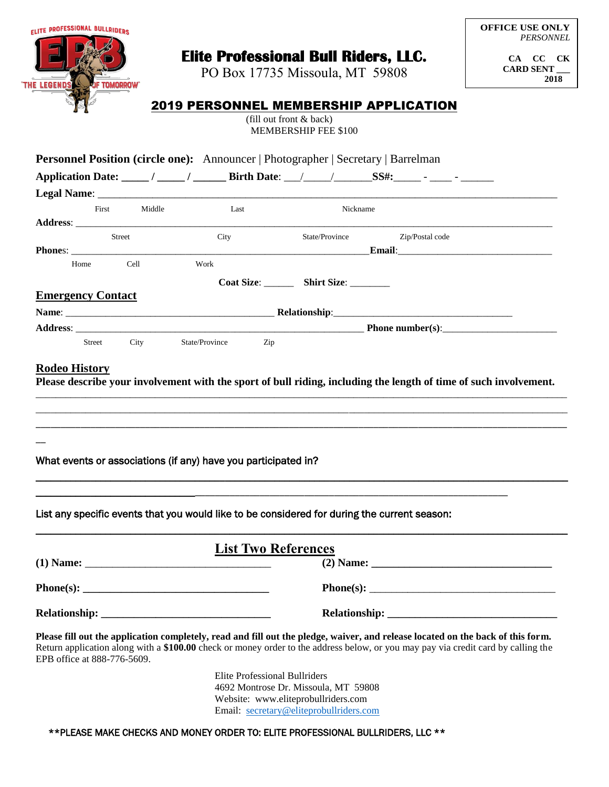| <b>ELITE PROFESSIONAL BULLRIDERS</b>                                                                                                                                                                                                                                                                                                                                                                                                                                                                                                                                                                                                                                                                                                                                                                                                           |              |      |                                                                             |                         |          |                                              | <b>PERSONNEL</b>              |
|------------------------------------------------------------------------------------------------------------------------------------------------------------------------------------------------------------------------------------------------------------------------------------------------------------------------------------------------------------------------------------------------------------------------------------------------------------------------------------------------------------------------------------------------------------------------------------------------------------------------------------------------------------------------------------------------------------------------------------------------------------------------------------------------------------------------------------------------|--------------|------|-----------------------------------------------------------------------------|-------------------------|----------|----------------------------------------------|-------------------------------|
|                                                                                                                                                                                                                                                                                                                                                                                                                                                                                                                                                                                                                                                                                                                                                                                                                                                |              |      | PO Box 17735 Missoula, MT 59808                                             |                         |          | <b>Elite Professional Bull Riders, LLC.</b>  | CA CC CK<br>CARD SENT<br>2018 |
| <b>THE LEGENDS</b><br><b>F TOMORROW'</b>                                                                                                                                                                                                                                                                                                                                                                                                                                                                                                                                                                                                                                                                                                                                                                                                       |              |      |                                                                             |                         |          |                                              |                               |
|                                                                                                                                                                                                                                                                                                                                                                                                                                                                                                                                                                                                                                                                                                                                                                                                                                                |              |      |                                                                             | (fill out front & back) |          | <b>2019 PERSONNEL MEMBERSHIP APPLICATION</b> |                               |
|                                                                                                                                                                                                                                                                                                                                                                                                                                                                                                                                                                                                                                                                                                                                                                                                                                                |              |      |                                                                             | MEMBERSHIP FEE \$100    |          |                                              |                               |
| <b>Personnel Position (circle one):</b> Announcer   Photographer   Secretary   Barrelman                                                                                                                                                                                                                                                                                                                                                                                                                                                                                                                                                                                                                                                                                                                                                       |              |      |                                                                             |                         |          |                                              |                               |
|                                                                                                                                                                                                                                                                                                                                                                                                                                                                                                                                                                                                                                                                                                                                                                                                                                                |              |      |                                                                             |                         |          |                                              |                               |
|                                                                                                                                                                                                                                                                                                                                                                                                                                                                                                                                                                                                                                                                                                                                                                                                                                                |              |      |                                                                             |                         |          |                                              |                               |
|                                                                                                                                                                                                                                                                                                                                                                                                                                                                                                                                                                                                                                                                                                                                                                                                                                                | First Middle |      | Last                                                                        |                         | Nickname |                                              |                               |
| Street                                                                                                                                                                                                                                                                                                                                                                                                                                                                                                                                                                                                                                                                                                                                                                                                                                         |              |      | City                                                                        |                         |          | State/Province Zip/Postal code               |                               |
| Home                                                                                                                                                                                                                                                                                                                                                                                                                                                                                                                                                                                                                                                                                                                                                                                                                                           | Cell         | Work |                                                                             |                         |          |                                              |                               |
|                                                                                                                                                                                                                                                                                                                                                                                                                                                                                                                                                                                                                                                                                                                                                                                                                                                |              |      | Coat Size: __________ Shirt Size: _________                                 |                         |          |                                              |                               |
| <b>Emergency Contact</b>                                                                                                                                                                                                                                                                                                                                                                                                                                                                                                                                                                                                                                                                                                                                                                                                                       |              |      |                                                                             |                         |          |                                              |                               |
|                                                                                                                                                                                                                                                                                                                                                                                                                                                                                                                                                                                                                                                                                                                                                                                                                                                |              |      |                                                                             |                         |          |                                              |                               |
|                                                                                                                                                                                                                                                                                                                                                                                                                                                                                                                                                                                                                                                                                                                                                                                                                                                |              |      |                                                                             |                         |          |                                              |                               |
|                                                                                                                                                                                                                                                                                                                                                                                                                                                                                                                                                                                                                                                                                                                                                                                                                                                | Street City  |      | State/Province Zip                                                          |                         |          |                                              |                               |
|                                                                                                                                                                                                                                                                                                                                                                                                                                                                                                                                                                                                                                                                                                                                                                                                                                                |              |      |                                                                             |                         |          |                                              |                               |
|                                                                                                                                                                                                                                                                                                                                                                                                                                                                                                                                                                                                                                                                                                                                                                                                                                                |              |      |                                                                             |                         |          |                                              |                               |
|                                                                                                                                                                                                                                                                                                                                                                                                                                                                                                                                                                                                                                                                                                                                                                                                                                                |              |      | <b>List Two References</b>                                                  |                         |          |                                              |                               |
|                                                                                                                                                                                                                                                                                                                                                                                                                                                                                                                                                                                                                                                                                                                                                                                                                                                |              |      |                                                                             |                         |          |                                              |                               |
|                                                                                                                                                                                                                                                                                                                                                                                                                                                                                                                                                                                                                                                                                                                                                                                                                                                |              |      |                                                                             |                         |          |                                              |                               |
|                                                                                                                                                                                                                                                                                                                                                                                                                                                                                                                                                                                                                                                                                                                                                                                                                                                |              |      |                                                                             |                         |          |                                              |                               |
|                                                                                                                                                                                                                                                                                                                                                                                                                                                                                                                                                                                                                                                                                                                                                                                                                                                |              |      | <b>Elite Professional Bullriders</b>                                        |                         |          |                                              |                               |
| <b>Rodeo History</b><br>Please describe your involvement with the sport of bull riding, including the length of time of such involvement.<br>What events or associations (if any) have you participated in?<br>List any specific events that you would like to be considered for during the current season:<br>$\mathbf{Phone}(s): \begin{tabular}{ c c c } \hline \multicolumn{3}{ c }{\textbf{Phone}}(s) & \multicolumn{3}{ c }{\textbf{Phone}}(s) \\ \hline \multicolumn{3}{ c }{\textbf{Phone}}(s) & \multicolumn{3}{ c }{\textbf{$<br>Please fill out the application completely, read and fill out the pledge, waiver, and release located on the back of this form.<br>Return application along with a \$100.00 check or money order to the address below, or you may pay via credit card by calling the<br>EPB office at 888-776-5609. |              |      | 4692 Montrose Dr. Missoula, MT 59808<br>Website: www.eliteprobullriders.com |                         |          |                                              |                               |

 $\overline{1}$ 

## \*\*PLEASE MAKE CHECKS AND MONEY ORDER TO: ELITE PROFESSIONAL BULLRIDERS, LLC \*\*